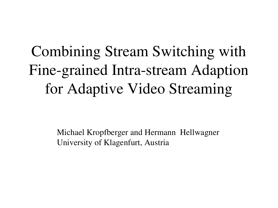## Combining Stream Switching with Fine-grained Intra-stream Adaption for Adaptive Video Streaming

Michael Kropfberger and Hermann Hellwagner University of Klagenfurt, Austria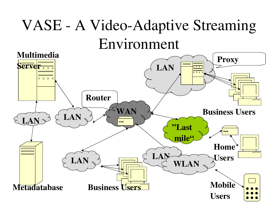### VASE - A Video-Adaptive Streaming Environment

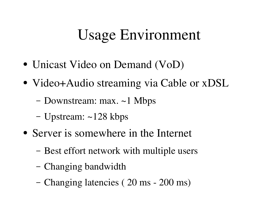### Usage Environment

- Unicast Video on Demand (VoD)
- Video+Audio streaming via Cable or xDSL
	- Downstream: max. ~1 Mbps
	- Upstream: ~128 kbps
- Server is somewhere in the Internet
	- Best effort network with multiple users
	- Changing bandwidth
	- Changing latencies (20 ms 200 ms)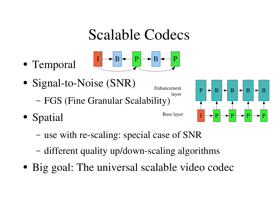#### Scalable Codecs

● Temporal



- Signal-to-Noise (SNR) – FGS (Fine Granular Scalability) Enhancement
- Spatial



layer

Base layer



- use with re-scaling: special case of SNR
- different quality up/down-scaling algorithms
- Big goal: The universal scalable video codec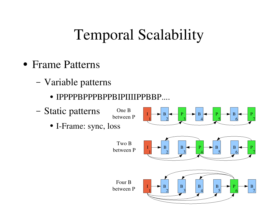### Temporal Scalability

- Frame Patterns
	- Variable patterns
		- IPPPPBPPPBPPBIPIIIIPPBBP....

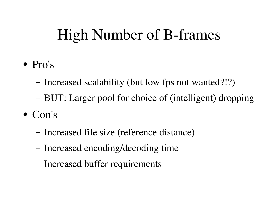### High Number of B-frames

- Pro's
	- Increased scalability (but low fps not wanted?!?)
	- BUT: Larger pool for choice of (intelligent) dropping
- Con's
	- Increased file size (reference distance)
	- Increased encoding/decoding time
	- Increased buffer requirements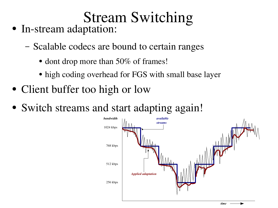# Stream Switching

- In-stream adaptation:
	- Scalable codecs are bound to certain ranges
		- dont drop more than 50% of frames!
		- high coding overhead for FGS with small base layer
- Client buffer too high or low
- Switch streams and start adapting again!

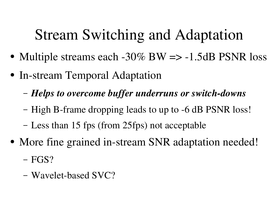### Stream Switching and Adaptation

- Multiple streams each  $-30\%$  BW  $\Rightarrow -1.5$ dB PSNR loss
- In-stream Temporal Adaptation
	- $-$  *Helps to overcome buffer underruns or switch-downs*
	- High B-frame dropping leads to up to -6 dB PSNR loss!
	- Less than 15 fps (from 25fps) not acceptable
- More fine grained in-stream SNR adaptation needed!
	- FGS?
	- Wavelet-based  $SVC$ ?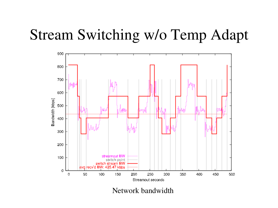

Network bandwidth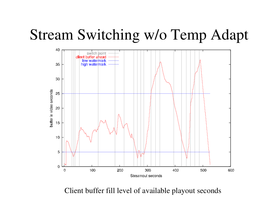

Client buffer fill level of available playout seconds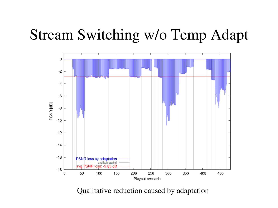

Qualitative reduction caused by adaptation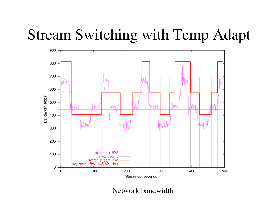![](_page_11_Figure_1.jpeg)

Network bandwidth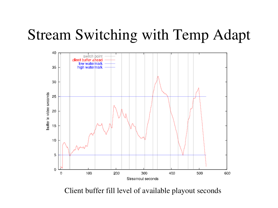![](_page_12_Figure_1.jpeg)

Client buffer fill level of available playout seconds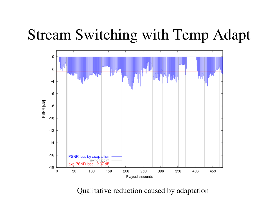![](_page_13_Figure_1.jpeg)

Qualitative reduction caused by adaptation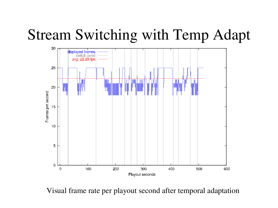![](_page_14_Figure_1.jpeg)

Visual frame rate per playout second after temporal adaptation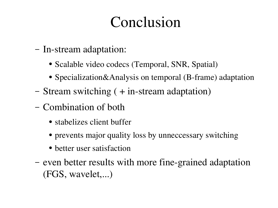### Conclusion

- In-stream adaptation:
	- Scalable video codecs (Temporal, SNR, Spatial)
	- Specialization&Analysis on temporal (B-frame) adaptation
- Stream switching  $( + in-stream adaptation)$
- Combination of both
	- stabelizes client buffer
	- prevents major quality loss by unneccessary switching
	- better user satisfaction
- even better results with more fine-grained adaptation (FGS, wavelet,...)